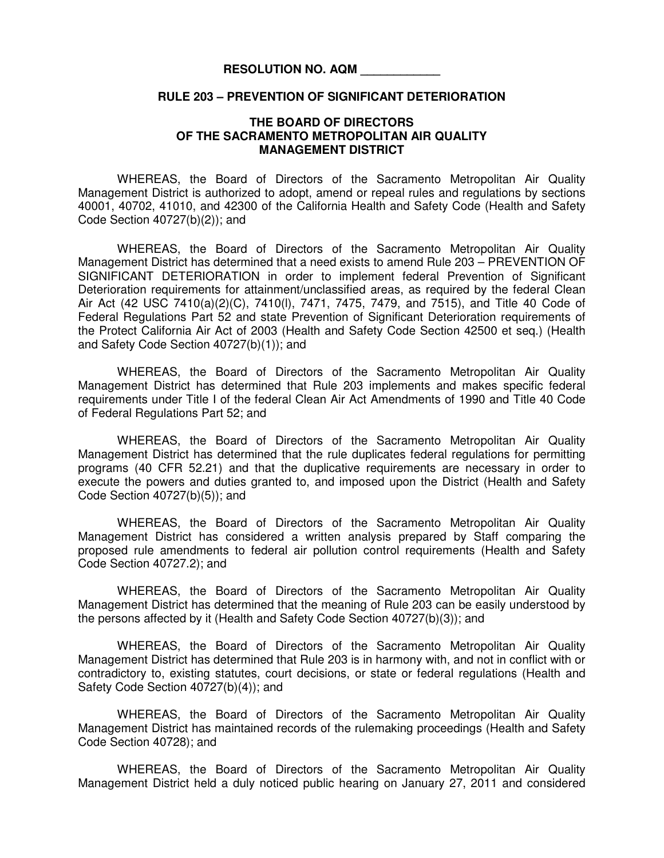## **RESOLUTION NO. AQM \_\_\_\_\_\_\_\_\_\_\_\_**

## **RULE 203 – PREVENTION OF SIGNIFICANT DETERIORATION**

## **THE BOARD OF DIRECTORS OF THE SACRAMENTO METROPOLITAN AIR QUALITY MANAGEMENT DISTRICT**

WHEREAS, the Board of Directors of the Sacramento Metropolitan Air Quality Management District is authorized to adopt, amend or repeal rules and regulations by sections 40001, 40702, 41010, and 42300 of the California Health and Safety Code (Health and Safety Code Section 40727(b)(2)); and

WHEREAS, the Board of Directors of the Sacramento Metropolitan Air Quality Management District has determined that a need exists to amend Rule 203 – PREVENTION OF SIGNIFICANT DETERIORATION in order to implement federal Prevention of Significant Deterioration requirements for attainment/unclassified areas, as required by the federal Clean Air Act (42 USC 7410(a)(2)(C), 7410(l), 7471, 7475, 7479, and 7515), and Title 40 Code of Federal Regulations Part 52 and state Prevention of Significant Deterioration requirements of the Protect California Air Act of 2003 (Health and Safety Code Section 42500 et seq.) (Health and Safety Code Section 40727(b)(1)); and

WHEREAS, the Board of Directors of the Sacramento Metropolitan Air Quality Management District has determined that Rule 203 implements and makes specific federal requirements under Title I of the federal Clean Air Act Amendments of 1990 and Title 40 Code of Federal Regulations Part 52; and

WHEREAS, the Board of Directors of the Sacramento Metropolitan Air Quality Management District has determined that the rule duplicates federal regulations for permitting programs (40 CFR 52.21) and that the duplicative requirements are necessary in order to execute the powers and duties granted to, and imposed upon the District (Health and Safety Code Section 40727(b)(5)); and

WHEREAS, the Board of Directors of the Sacramento Metropolitan Air Quality Management District has considered a written analysis prepared by Staff comparing the proposed rule amendments to federal air pollution control requirements (Health and Safety Code Section 40727.2); and

WHEREAS, the Board of Directors of the Sacramento Metropolitan Air Quality Management District has determined that the meaning of Rule 203 can be easily understood by the persons affected by it (Health and Safety Code Section 40727(b)(3)); and

WHEREAS, the Board of Directors of the Sacramento Metropolitan Air Quality Management District has determined that Rule 203 is in harmony with, and not in conflict with or contradictory to, existing statutes, court decisions, or state or federal regulations (Health and Safety Code Section 40727(b)(4)); and

WHEREAS, the Board of Directors of the Sacramento Metropolitan Air Quality Management District has maintained records of the rulemaking proceedings (Health and Safety Code Section 40728); and

WHEREAS, the Board of Directors of the Sacramento Metropolitan Air Quality Management District held a duly noticed public hearing on January 27, 2011 and considered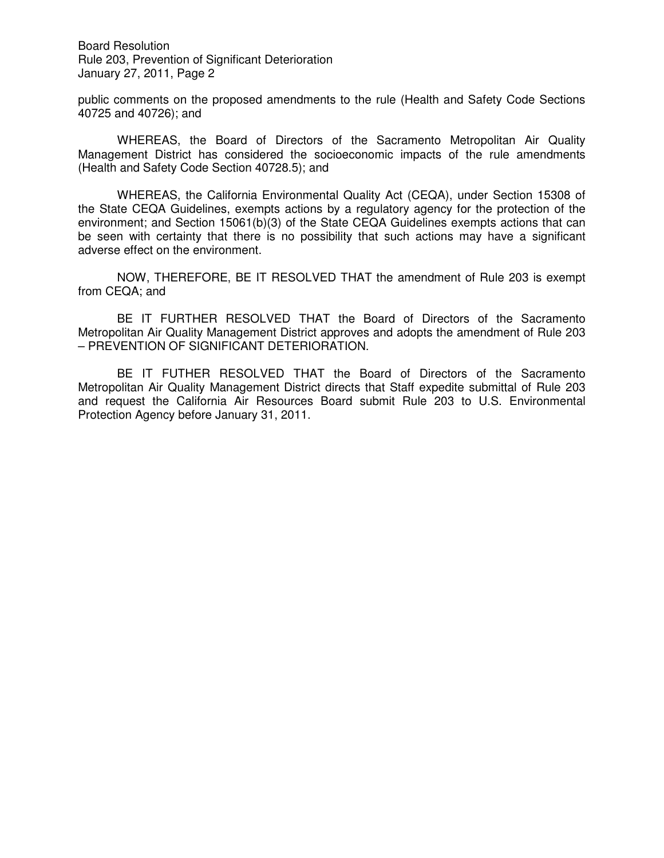Board Resolution Rule 203, Prevention of Significant Deterioration January 27, 2011, Page 2

public comments on the proposed amendments to the rule (Health and Safety Code Sections 40725 and 40726); and

WHEREAS, the Board of Directors of the Sacramento Metropolitan Air Quality Management District has considered the socioeconomic impacts of the rule amendments (Health and Safety Code Section 40728.5); and

WHEREAS, the California Environmental Quality Act (CEQA), under Section 15308 of the State CEQA Guidelines, exempts actions by a regulatory agency for the protection of the environment; and Section 15061(b)(3) of the State CEQA Guidelines exempts actions that can be seen with certainty that there is no possibility that such actions may have a significant adverse effect on the environment.

NOW, THEREFORE, BE IT RESOLVED THAT the amendment of Rule 203 is exempt from CEQA; and

BE IT FURTHER RESOLVED THAT the Board of Directors of the Sacramento Metropolitan Air Quality Management District approves and adopts the amendment of Rule 203 – PREVENTION OF SIGNIFICANT DETERIORATION.

BE IT FUTHER RESOLVED THAT the Board of Directors of the Sacramento Metropolitan Air Quality Management District directs that Staff expedite submittal of Rule 203 and request the California Air Resources Board submit Rule 203 to U.S. Environmental Protection Agency before January 31, 2011.